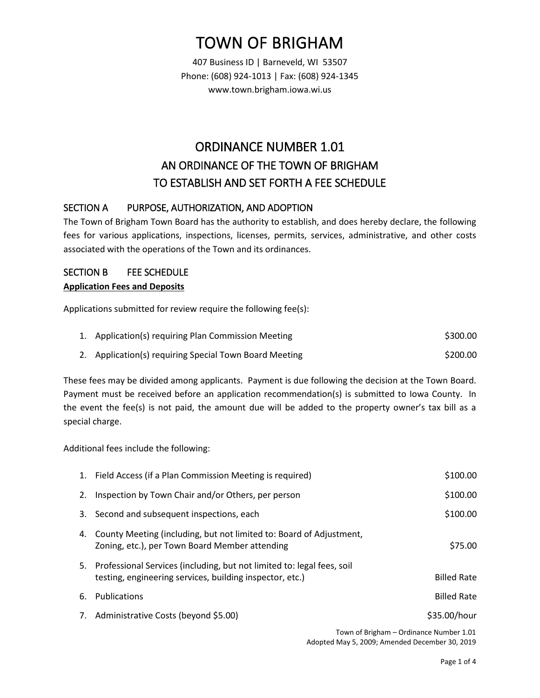# TOWN OF BRIGHAM

407 Business ID | Barneveld, WI 53507 Phone: (608) 924-1013 | Fax: (608) 924-1345 www.town.brigham.iowa.wi.us

# ORDINANCE NUMBER 1.01 AN ORDINANCE OF THE TOWN OF BRIGHAM TO ESTABLISH AND SET FORTH A FEE SCHEDULE

## SECTION A PURPOSE, AUTHORIZATION, AND ADOPTION

The Town of Brigham Town Board has the authority to establish, and does hereby declare, the following fees for various applications, inspections, licenses, permits, services, administrative, and other costs associated with the operations of the Town and its ordinances.

### SECTION B FEE SCHEDULE

#### **Application Fees and Deposits**

Applications submitted for review require the following fee(s):

| 1. Application(s) requiring Plan Commission Meeting    | \$300.00 |
|--------------------------------------------------------|----------|
| 2. Application(s) requiring Special Town Board Meeting | \$200.00 |

These fees may be divided among applicants. Payment is due following the decision at the Town Board. Payment must be received before an application recommendation(s) is submitted to Iowa County. In the event the fee(s) is not paid, the amount due will be added to the property owner's tax bill as a special charge.

Additional fees include the following:

|    | 1. Field Access (if a Plan Commission Meeting is required)                                                                            | \$100.00           |
|----|---------------------------------------------------------------------------------------------------------------------------------------|--------------------|
| 2. | Inspection by Town Chair and/or Others, per person                                                                                    | \$100.00           |
| 3. | Second and subsequent inspections, each                                                                                               | \$100.00           |
| 4. | County Meeting (including, but not limited to: Board of Adjustment,<br>Zoning, etc.), per Town Board Member attending                 | \$75.00            |
|    | 5. Professional Services (including, but not limited to: legal fees, soil<br>testing, engineering services, building inspector, etc.) | <b>Billed Rate</b> |
| 6. | Publications                                                                                                                          | <b>Billed Rate</b> |
| 7. | Administrative Costs (beyond \$5.00)                                                                                                  | \$35.00/hour       |

Town of Brigham – Ordinance Number 1.01 Adopted May 5, 2009; Amended December 30, 2019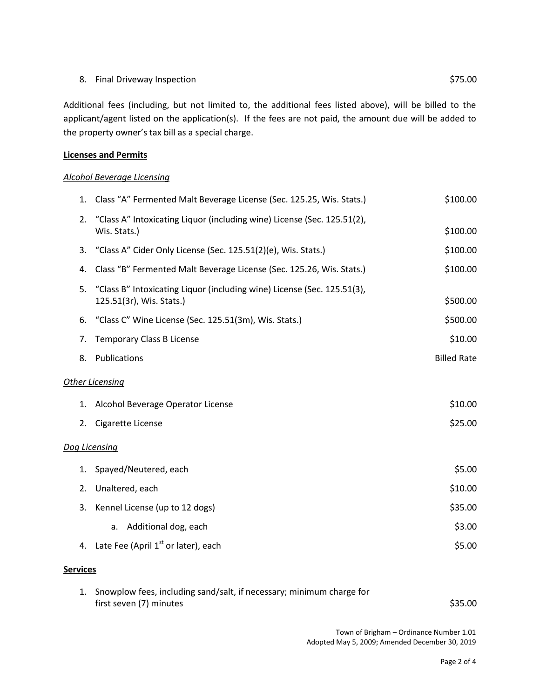#### 8. Final Driveway Inspection  $$75.00$

Additional fees (including, but not limited to, the additional fees listed above), will be billed to the applicant/agent listed on the application(s). If the fees are not paid, the amount due will be added to the property owner's tax bill as a special charge.

#### **Licenses and Permits**

#### *Alcohol Beverage Licensing*

| 1.                     | Class "A" Fermented Malt Beverage License (Sec. 125.25, Wis. Stats.)                                | \$100.00           |  |  |
|------------------------|-----------------------------------------------------------------------------------------------------|--------------------|--|--|
| 2.                     | "Class A" Intoxicating Liquor (including wine) License (Sec. 125.51(2),<br>Wis. Stats.)             | \$100.00           |  |  |
| 3.                     | "Class A" Cider Only License (Sec. 125.51(2)(e), Wis. Stats.)                                       | \$100.00           |  |  |
| 4.                     | Class "B" Fermented Malt Beverage License (Sec. 125.26, Wis. Stats.)                                | \$100.00           |  |  |
| 5.                     | "Class B" Intoxicating Liquor (including wine) License (Sec. 125.51(3),<br>125.51(3r), Wis. Stats.) | \$500.00           |  |  |
| 6.                     | "Class C" Wine License (Sec. 125.51(3m), Wis. Stats.)                                               | \$500.00           |  |  |
| 7.                     | <b>Temporary Class B License</b>                                                                    | \$10.00            |  |  |
| 8.                     | Publications                                                                                        | <b>Billed Rate</b> |  |  |
| <b>Other Licensing</b> |                                                                                                     |                    |  |  |
| 1.                     | Alcohol Beverage Operator License                                                                   | \$10.00            |  |  |
| 2.                     | Cigarette License                                                                                   | \$25.00            |  |  |
| Dog Licensing          |                                                                                                     |                    |  |  |
| 1.                     | Spayed/Neutered, each                                                                               | \$5.00             |  |  |
| 2.                     | Unaltered, each                                                                                     | \$10.00            |  |  |
| 3.                     | Kennel License (up to 12 dogs)                                                                      | \$35.00            |  |  |
|                        | Additional dog, each<br>а.                                                                          | \$3.00             |  |  |
|                        | 4. Late Fee (April 1 <sup>st</sup> or later), each                                                  | \$5.00             |  |  |

#### **Services**

| 1. Snowplow fees, including sand/salt, if necessary; minimum charge for |         |
|-------------------------------------------------------------------------|---------|
| first seven (7) minutes                                                 | \$35.00 |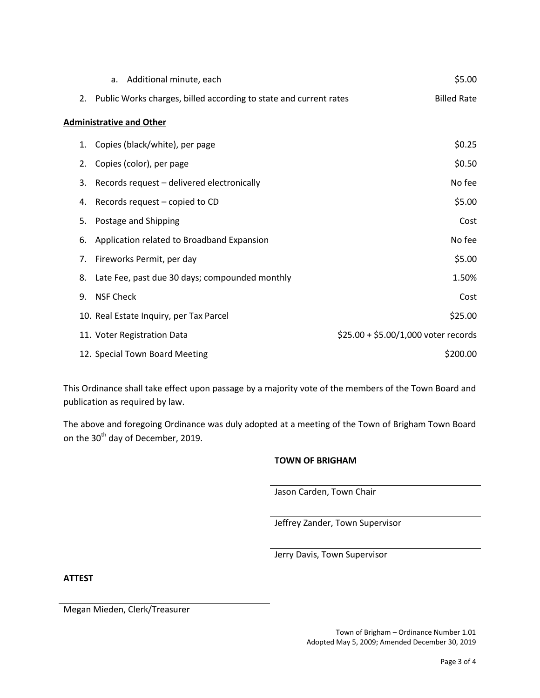|                                 | a. Additional minute, each                                        | \$5.00                               |  |  |  |
|---------------------------------|-------------------------------------------------------------------|--------------------------------------|--|--|--|
| 2.                              | Public Works charges, billed according to state and current rates | <b>Billed Rate</b>                   |  |  |  |
| <b>Administrative and Other</b> |                                                                   |                                      |  |  |  |
| 1.                              | Copies (black/white), per page                                    | \$0.25                               |  |  |  |
| 2.                              | Copies (color), per page                                          | \$0.50                               |  |  |  |
| 3.                              | Records request - delivered electronically                        | No fee                               |  |  |  |
| 4.                              | Records request – copied to CD                                    | \$5.00                               |  |  |  |
| 5.                              | Postage and Shipping                                              | Cost                                 |  |  |  |
| 6.                              | Application related to Broadband Expansion                        | No fee                               |  |  |  |
| 7.                              | Fireworks Permit, per day                                         | \$5.00                               |  |  |  |
| 8.                              | Late Fee, past due 30 days; compounded monthly                    | 1.50%                                |  |  |  |
| 9.                              | <b>NSF Check</b>                                                  | Cost                                 |  |  |  |
|                                 | 10. Real Estate Inquiry, per Tax Parcel                           | \$25.00                              |  |  |  |
|                                 | 11. Voter Registration Data                                       | $$25.00 + $5.00/1,000$ voter records |  |  |  |
|                                 | 12. Special Town Board Meeting                                    | \$200.00                             |  |  |  |

This Ordinance shall take effect upon passage by a majority vote of the members of the Town Board and publication as required by law.

The above and foregoing Ordinance was duly adopted at a meeting of the Town of Brigham Town Board on the 30<sup>th</sup> day of December, 2019.

#### **TOWN OF BRIGHAM**

Jason Carden, Town Chair

Jeffrey Zander, Town Supervisor

Jerry Davis, Town Supervisor

**ATTEST**

Megan Mieden, Clerk/Treasurer